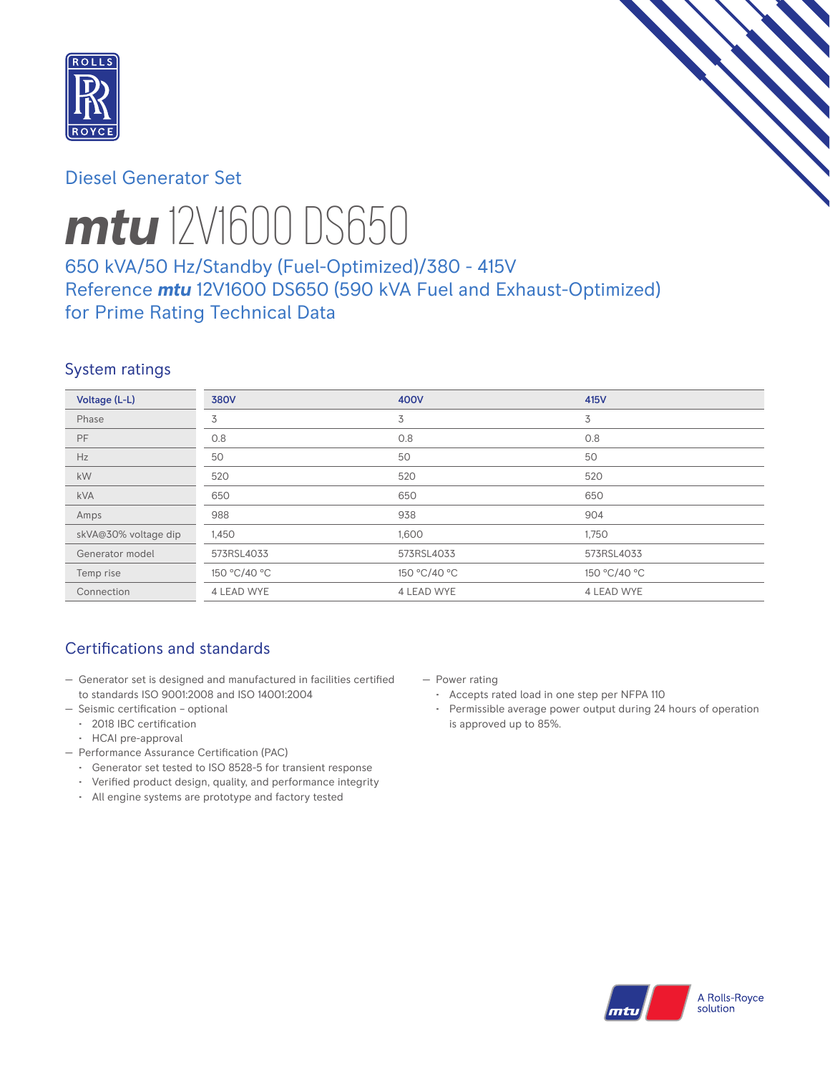

# Diesel Generator Set



# *mtu* 12V1600 DS650

# 650 kVA/50 Hz/Standby (Fuel-Optimized)/380 - 415V Reference *mtu* 12V1600 DS650 (590 kVA Fuel and Exhaust-Optimized) for Prime Rating Technical Data

## System ratings

| Voltage (L-L)        | <b>380V</b>  | 400V         | 415V         |
|----------------------|--------------|--------------|--------------|
| Phase                | 3            | 3            | 3            |
| PF                   | 0.8          | 0.8          | 0.8          |
| Hz                   | 50           | 50           | 50           |
| kW                   | 520          | 520          | 520          |
| <b>kVA</b>           | 650          | 650          | 650          |
| Amps                 | 988          | 938          | 904          |
| skVA@30% voltage dip | 1,450        | 1,600        | 1,750        |
| Generator model      | 573RSL4033   | 573RSL4033   | 573RSL4033   |
| Temp rise            | 150 °C/40 °C | 150 °C/40 °C | 150 °C/40 °C |
| Connection           | 4 LEAD WYE   | 4 LEAD WYE   | 4 LEAD WYE   |

# Certifications and standards

- Generator set is designed and manufactured in facilities certified to standards ISO 9001:2008 and ISO 14001:2004
- Seismic certification optional
	- 2018 IBC certification
	- HCAI pre-approval
- Performance Assurance Certification (PAC)
	- Generator set tested to ISO 8528-5 for transient response
	- Verified product design, quality, and performance integrity
	- All engine systems are prototype and factory tested
- Power rating
	- Accepts rated load in one step per NFPA 110
	- Permissible average power output during 24 hours of operation is approved up to 85%.

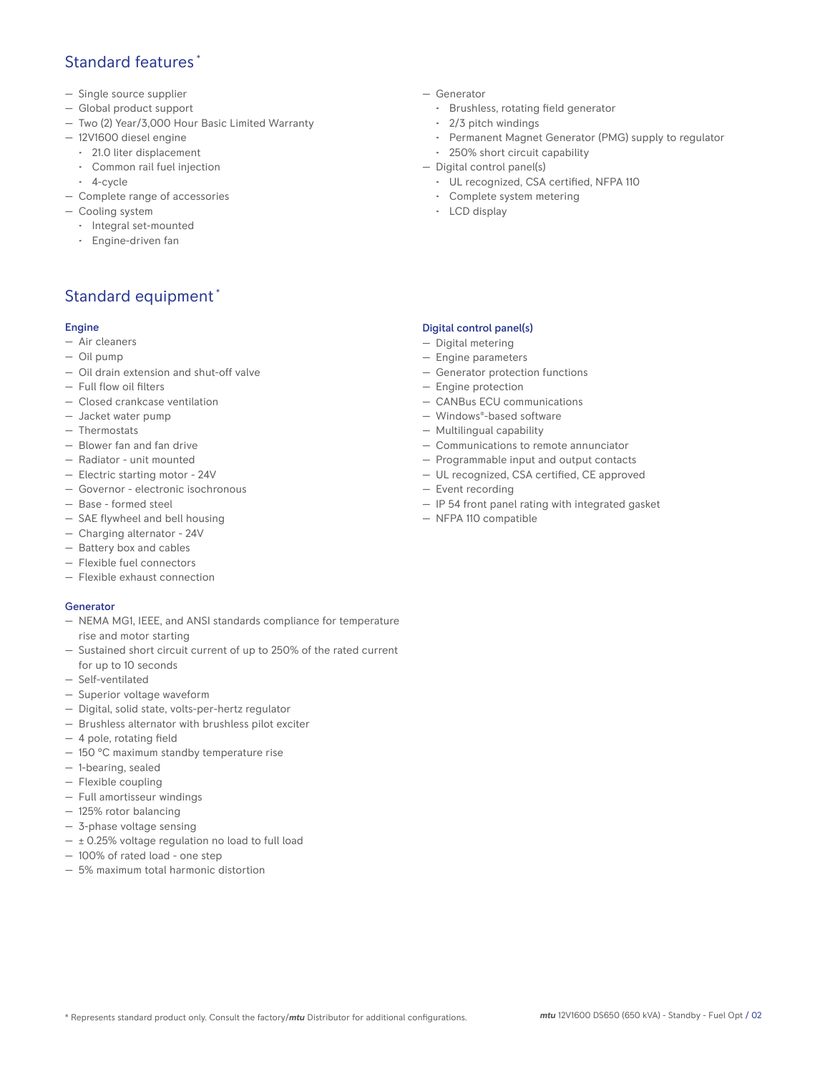## Standard features \*

- Single source supplier
- Global product support
- Two (2) Year/3,000 Hour Basic Limited Warranty
- 12V1600 diesel engine
	- 21.0 liter displacement
	- Common rail fuel injection
- 4-cycle
- Complete range of accessories
- Cooling system
	- Integral set-mounted
	- Engine-driven fan

# Standard equipment \*

#### Engine

- Air cleaners
- Oil pump
- Oil drain extension and shut-off valve
- Full flow oil filters
- Closed crankcase ventilation
- Jacket water pump
- Thermostats
- Blower fan and fan drive
- Radiator unit mounted
- Electric starting motor 24V
- Governor electronic isochronous
- Base formed steel
- SAE flywheel and bell housing
- Charging alternator 24V
- Battery box and cables
- Flexible fuel connectors
- Flexible exhaust connection

#### Generator

- NEMA MG1, IEEE, and ANSI standards compliance for temperature rise and motor starting
- Sustained short circuit current of up to 250% of the rated current for up to 10 seconds
- Self-ventilated
- Superior voltage waveform
- Digital, solid state, volts-per-hertz regulator
- Brushless alternator with brushless pilot exciter
- 4 pole, rotating field
- 150 °C maximum standby temperature rise
- 1-bearing, sealed
- Flexible coupling
- Full amortisseur windings
- 125% rotor balancing
- 3-phase voltage sensing
- $\pm$  0.25% voltage regulation no load to full load
- 100% of rated load one step
- 5% maximum total harmonic distortion
- Generator
	- Brushless, rotating field generator
	- 2/3 pitch windings
	- Permanent Magnet Generator (PMG) supply to regulator
- 250% short circuit capability
- Digital control panel(s)
	- UL recognized, CSA certified, NFPA 110
	- Complete system metering
	- LCD display

#### Digital control panel(s)

- Digital metering
- Engine parameters
- Generator protection functions
- Engine protection
- CANBus ECU communications
- Windows®-based software
- Multilingual capability
- Communications to remote annunciator
- Programmable input and output contacts
- UL recognized, CSA certified, CE approved
- Event recording
- IP 54 front panel rating with integrated gasket
- NFPA 110 compatible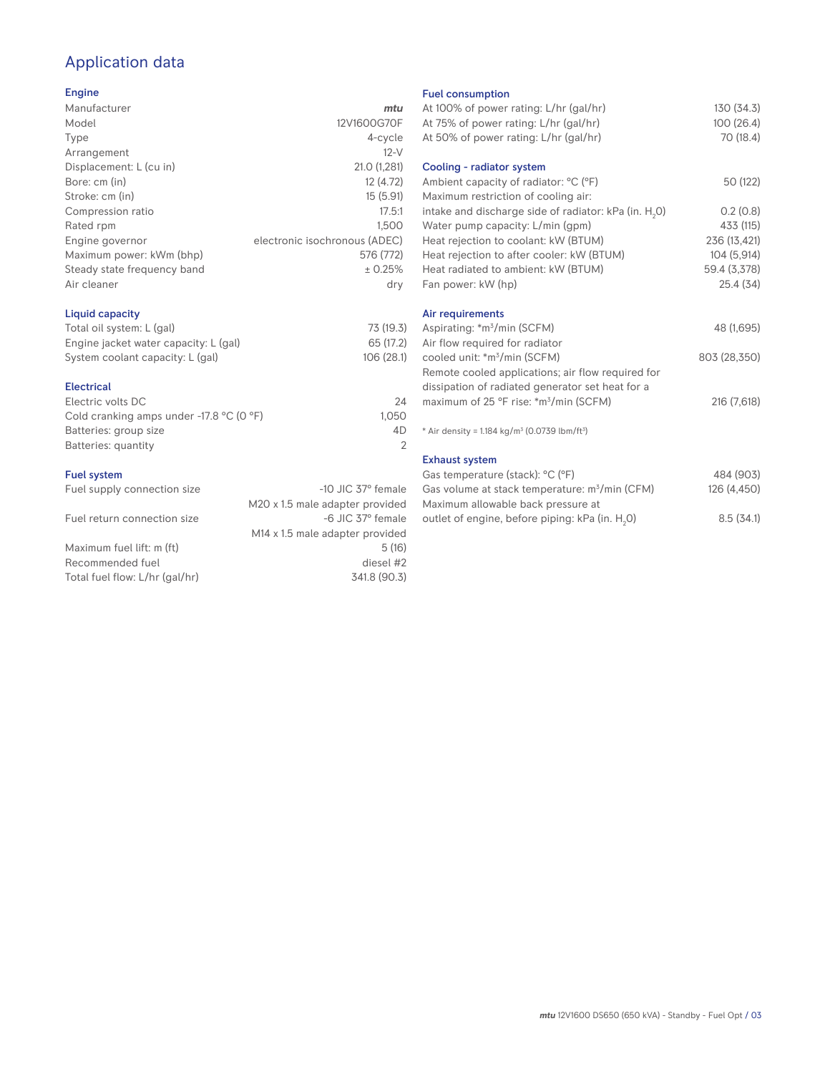# Application data

### Engine

| Manufacturer                | mtu                           |
|-----------------------------|-------------------------------|
| Model                       | 12V1600G70F                   |
| Type                        | 4-cycle                       |
| Arrangement                 | $12-V$                        |
| Displacement: L (cu in)     | 21.0 (1,281)                  |
| Bore: cm (in)               | 12 (4.72)                     |
| Stroke: cm (in)             | 15(5.91)                      |
| Compression ratio           | 17.5:1                        |
| Rated rpm                   | 1.500                         |
| Engine governor             | electronic isochronous (ADEC) |
| Maximum power: kWm (bhp)    | 576 (772)                     |
| Steady state frequency band | ± 0.25%                       |
| Air cleaner                 | dry                           |
|                             |                               |

## Liquid capacity

| Total oil system: L (gal)             | 73 (19.3)  |
|---------------------------------------|------------|
| Engine jacket water capacity: L (gal) | 65 (17.2)  |
| System coolant capacity: L (gal)      | 106 (28.1) |

#### Electrical

| Electric volts DC                                            | 24    |
|--------------------------------------------------------------|-------|
| Cold cranking amps under -17.8 $^{\circ}$ C (O $^{\circ}$ F) | 1.050 |
| Batteries: group size                                        | 4D    |
| Batteries: quantity                                          |       |
|                                                              |       |

#### Fuel system

| Fuel supply connection size    | $-10$ JIC 37 $\degree$ female               |
|--------------------------------|---------------------------------------------|
|                                | M20 x 1.5 male adapter provided             |
| Fuel return connection size    | -6 JIC 37° female                           |
|                                | M <sub>14</sub> x 1.5 male adapter provided |
| Maximum fuel lift: m (ft)      | 5(16)                                       |
| Recommended fuel               | diesel #2                                   |
| Total fuel flow: L/hr (gal/hr) | 341.8 (90.3)                                |
|                                |                                             |

## Fuel consumption

| <b>Fuel Consumption</b>                                                 |              |
|-------------------------------------------------------------------------|--------------|
| At 100% of power rating: L/hr (gal/hr)                                  | 130 (34.3)   |
| At 75% of power rating: L/hr (gal/hr)                                   | 100(26.4)    |
| At 50% of power rating: L/hr (gal/hr)                                   | 70 (18.4)    |
| Cooling - radiator system                                               |              |
| Ambient capacity of radiator: °C (°F)                                   | 50 (122)     |
| Maximum restriction of cooling air:                                     |              |
| intake and discharge side of radiator: kPa (in. H <sub>2</sub> 0)       | 0.2(0.8)     |
| Water pump capacity: L/min (gpm)                                        | 433 (115)    |
| Heat rejection to coolant: kW (BTUM)                                    | 236 (13,421) |
| Heat rejection to after cooler: kW (BTUM)                               | 104 (5,914)  |
| Heat radiated to ambient: kW (BTUM)                                     | 59.4 (3,378) |
| Fan power: kW (hp)                                                      | 25.4(34)     |
| Air requirements                                                        |              |
| Aspirating: *m <sup>3</sup> /min (SCFM)                                 | 48 (1,695)   |
| Air flow required for radiator                                          |              |
| cooled unit: *m <sup>3</sup> /min (SCFM)                                | 803 (28,350) |
| Remote cooled applications; air flow required for                       |              |
| dissipation of radiated generator set heat for a                        |              |
| maximum of 25 °F rise: *m <sup>3</sup> /min (SCFM)                      | 216 (7,618)  |
| * Air density = $1.184$ kg/m <sup>3</sup> (0.0739 lbm/ft <sup>3</sup> ) |              |
| <b>Exhaust system</b>                                                   |              |
| Gas temperature (stack): °C (°F)                                        | 484 (903)    |
| Gas volume at stack temperature: m <sup>3</sup> /min (CFM)              | 126 (4,450)  |
| Maximum allowable back pressure at                                      |              |

outlet of engine, before piping: kPa (in.  $H_2O$ )

0) 8.5 (34.1)